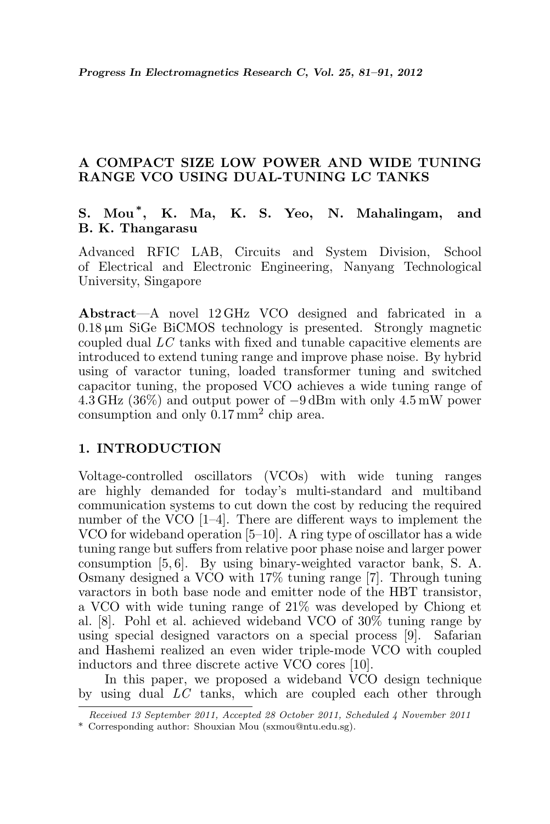## A COMPACT SIZE LOW POWER AND WIDE TUNING RANGE VCO USING DUAL-TUNING LC TANKS

# S. Mou\* , K. Ma, K. S. Yeo, N. Mahalingam, and B. K. Thangarasu

Advanced RFIC LAB, Circuits and System Division, School of Electrical and Electronic Engineering, Nanyang Technological University, Singapore

Abstract—A novel 12 GHz VCO designed and fabricated in a  $0.18 \,\mu\text{m}$  SiGe BiCMOS technology is presented. Strongly magnetic coupled dual LC tanks with fixed and tunable capacitive elements are introduced to extend tuning range and improve phase noise. By hybrid using of varactor tuning, loaded transformer tuning and switched capacitor tuning, the proposed VCO achieves a wide tuning range of  $4.\overline{3}$  GHz (36%) and output power of  $-9$  dBm with only  $4.5$  mW power consumption and only  $0.17 \text{ mm}^2$  chip area.

## 1. INTRODUCTION

Voltage-controlled oscillators (VCOs) with wide tuning ranges are highly demanded for today's multi-standard and multiband communication systems to cut down the cost by reducing the required number of the VCO [1–4]. There are different ways to implement the VCO for wideband operation [5–10]. A ring type of oscillator has a wide tuning range but suffers from relative poor phase noise and larger power consumption [5, 6]. By using binary-weighted varactor bank, S. A. Osmany designed a VCO with 17% tuning range [7]. Through tuning varactors in both base node and emitter node of the HBT transistor, a VCO with wide tuning range of 21% was developed by Chiong et al. [8]. Pohl et al. achieved wideband VCO of 30% tuning range by using special designed varactors on a special process [9]. Safarian and Hashemi realized an even wider triple-mode VCO with coupled inductors and three discrete active VCO cores [10].

In this paper, we proposed a wideband VCO design technique by using dual LC tanks, which are coupled each other through

Received 13 September 2011, Accepted 28 October 2011, Scheduled 4 November 2011

<sup>\*</sup> Corresponding author: Shouxian Mou (sxmou@ntu.edu.sg).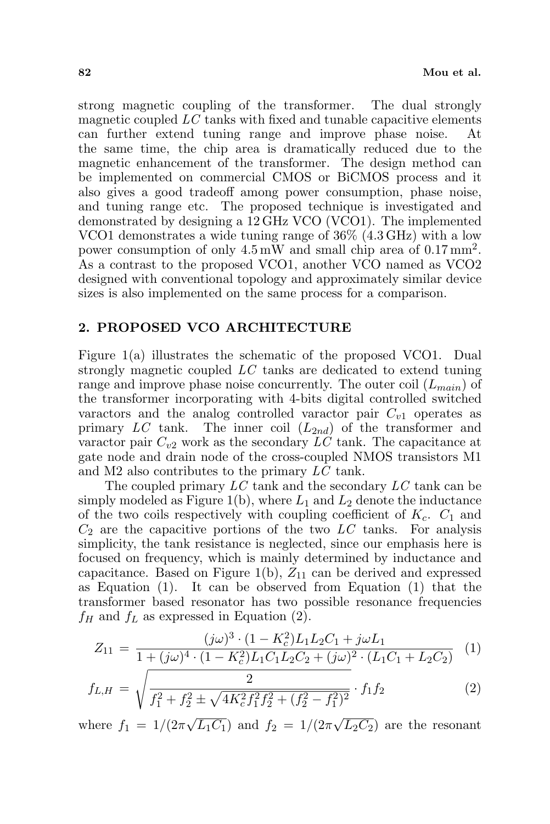strong magnetic coupling of the transformer. The dual strongly magnetic coupled LC tanks with fixed and tunable capacitive elements can further extend tuning range and improve phase noise. the same time, the chip area is dramatically reduced due to the magnetic enhancement of the transformer. The design method can be implemented on commercial CMOS or BiCMOS process and it also gives a good tradeoff among power consumption, phase noise, and tuning range etc. The proposed technique is investigated and demonstrated by designing a 12 GHz VCO (VCO1). The implemented VCO1 demonstrates a wide tuning range of 36% (4.3 GHz) with a low power consumption of only  $4.5 \,\text{mW}$  and small chip area of 0.17 mm<sup>2</sup>. As a contrast to the proposed VCO1, another VCO named as VCO2 designed with conventional topology and approximately similar device sizes is also implemented on the same process for a comparison.

## 2. PROPOSED VCO ARCHITECTURE

Figure 1(a) illustrates the schematic of the proposed VCO1. Dual strongly magnetic coupled LC tanks are dedicated to extend tuning range and improve phase noise concurrently. The outer coil  $(L_{main})$  of the transformer incorporating with 4-bits digital controlled switched varactors and the analog controlled varactor pair  $C_{v1}$  operates as primary LC tank. The inner coil  $(L_{2nd})$  of the transformer and varactor pair  $C_{v2}$  work as the secondary LC tank. The capacitance at gate node and drain node of the cross-coupled NMOS transistors M1 and M2 also contributes to the primary LC tank.

The coupled primary LC tank and the secondary LC tank can be simply modeled as Figure 1(b), where  $L_1$  and  $L_2$  denote the inductance of the two coils respectively with coupling coefficient of  $K_c$ .  $C_1$  and  $C_2$  are the capacitive portions of the two  $LC$  tanks. For analysis simplicity, the tank resistance is neglected, since our emphasis here is focused on frequency, which is mainly determined by inductance and capacitance. Based on Figure 1(b),  $Z_{11}$  can be derived and expressed as Equation (1). It can be observed from Equation (1) that the transformer based resonator has two possible resonance frequencies  $f_H$  and  $f_L$  as expressed in Equation (2).

$$
Z_{11} = \frac{(j\omega)^3 \cdot (1 - K_c^2)L_1L_2C_1 + j\omega L_1}{1 + (j\omega)^4 \cdot (1 - K_c^2)L_1C_1L_2C_2 + (j\omega)^2 \cdot (L_1C_1 + L_2C_2)} \tag{1}
$$

$$
f_{L,H} = \sqrt{\frac{2}{f_1^2 + f_2^2 \pm \sqrt{4K_c^2 f_1^2 f_2^2 + (f_2^2 - f_1^2)^2}} \cdot f_1 f_2}
$$
(2)

where  $f_1 = 1/(2\pi)$  $\overline{L_1C_1}$  and  $f_2 = 1/(2\pi)$  $\overline{L_2C_2}$  are the resonant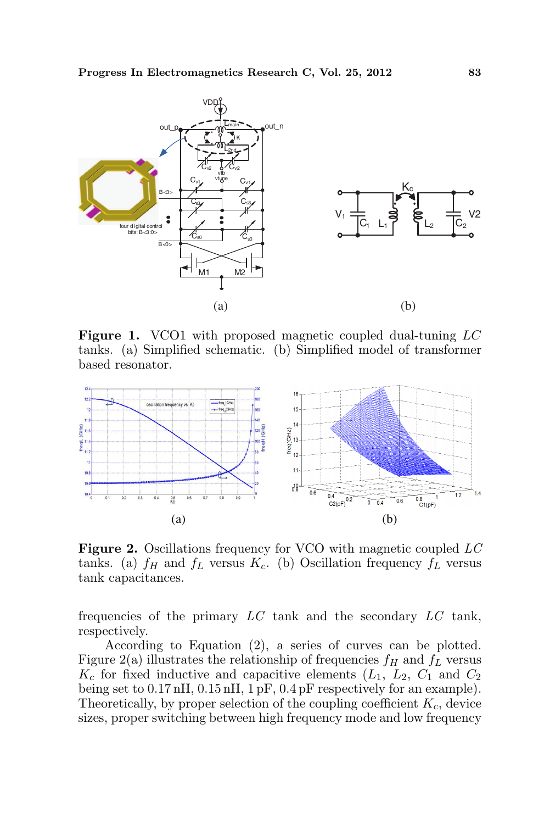

Figure 1. VCO1 with proposed magnetic coupled dual-tuning LC tanks. (a) Simplified schematic. (b) Simplified model of transformer based resonator.



Figure 2. Oscillations frequency for VCO with magnetic coupled LC tanks. (a)  $f_H$  and  $f_L$  versus  $K_c$ . (b) Oscillation frequency  $f_L$  versus tank capacitances.

frequencies of the primary  $LC$  tank and the secondary  $LC$  tank, respectively.

According to Equation (2), a series of curves can be plotted. Figure 2(a) illustrates the relationship of frequencies  $f_H$  and  $f_L$  versus  $K_c$  for fixed inductive and capacitive elements  $(L_1, L_2, C_1$  and  $C_2$ being set to 0.17 nH, 0.15 nH, 1 pF, 0.4 pF respectively for an example). Theoretically, by proper selection of the coupling coefficient  $K_c$ , device sizes, proper switching between high frequency mode and low frequency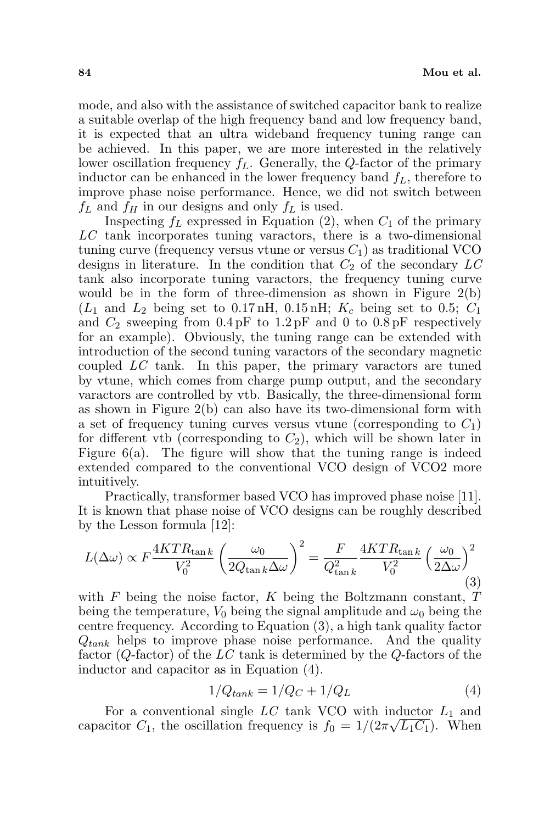mode, and also with the assistance of switched capacitor bank to realize a suitable overlap of the high frequency band and low frequency band, it is expected that an ultra wideband frequency tuning range can be achieved. In this paper, we are more interested in the relatively lower oscillation frequency  $f_L$ . Generally, the Q-factor of the primary inductor can be enhanced in the lower frequency band  $f_L$ , therefore to improve phase noise performance. Hence, we did not switch between  $f_L$  and  $f_H$  in our designs and only  $f_L$  is used.

Inspecting  $f_L$  expressed in Equation (2), when  $C_1$  of the primary  $LC$  tank incorporates tuning varactors, there is a two-dimensional tuning curve (frequency versus vtune or versus  $C_1$ ) as traditional VCO designs in literature. In the condition that  $C_2$  of the secondary  $LC$ tank also incorporate tuning varactors, the frequency tuning curve would be in the form of three-dimension as shown in Figure  $2(b)$  $(L_1 \text{ and } L_2 \text{ being set to } 0.17 \text{ nH}, 0.15 \text{ nH}; K_c \text{ being set to } 0.5; C_1$ and  $C_2$  sweeping from  $0.4 \text{pF}$  to  $1.2 \text{pF}$  and 0 to  $0.8 \text{pF}$  respectively for an example). Obviously, the tuning range can be extended with introduction of the second tuning varactors of the secondary magnetic coupled LC tank. In this paper, the primary varactors are tuned by vtune, which comes from charge pump output, and the secondary varactors are controlled by vtb. Basically, the three-dimensional form as shown in Figure 2(b) can also have its two-dimensional form with a set of frequency tuning curves versus vtune (corresponding to  $C_1$ ) for different vtb (corresponding to  $C_2$ ), which will be shown later in Figure  $6(a)$ . The figure will show that the tuning range is indeed extended compared to the conventional VCO design of VCO2 more intuitively.

Practically, transformer based VCO has improved phase noise [11]. It is known that phase noise of VCO designs can be roughly described by the Lesson formula [12]:

$$
L(\Delta\omega) \propto F \frac{4KTR_{\tan k}}{V_0^2} \left(\frac{\omega_0}{2Q_{\tan k}\Delta\omega}\right)^2 = \frac{F}{Q_{\tan k}^2} \frac{4KTR_{\tan k}}{V_0^2} \left(\frac{\omega_0}{2\Delta\omega}\right)^2
$$
\n(3)

with  $F$  being the noise factor,  $K$  being the Boltzmann constant,  $T$ being the temperature,  $V_0$  being the signal amplitude and  $\omega_0$  being the centre frequency. According to Equation (3), a high tank quality factor  $Q_{tank}$  helps to improve phase noise performance. And the quality factor  $(Q$ -factor) of the LC tank is determined by the  $Q$ -factors of the inductor and capacitor as in Equation (4).

$$
1/Q_{tank} = 1/Q_C + 1/Q_L \tag{4}
$$

For a conventional single  $LC$  tank VCO with inductor  $L_1$  and capacitor  $C_1$ , the oscillation frequency is  $f_0 = 1/(2\pi\sqrt{L_1C_1})$ . When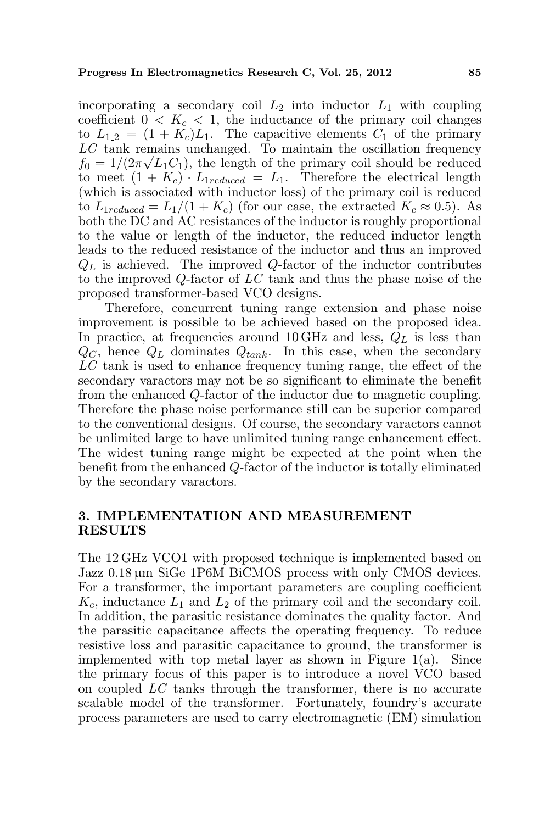incorporating a secondary coil  $L_2$  into inductor  $L_1$  with coupling coefficient  $0 < K_c < 1$ , the inductance of the primary coil changes to  $L_{1,2} = (1 + K_c)L_1$ . The capacitive elements  $C_1$  of the primary  $LC$  tank remains unchanged. To maintain the oscillation frequency  $f_0 = 1/(2\pi\sqrt{L_1C_1})$ , the length of the primary coil should be reduced to meet  $(1 + K_c) \cdot L_{1reduced} = L_1$ . Therefore the electrical length (which is associated with inductor loss) of the primary coil is reduced to  $L_{1reduced} = L_1/(1 + K_c)$  (for our case, the extracted  $K_c \approx 0.5$ ). As both the DC and AC resistances of the inductor is roughly proportional to the value or length of the inductor, the reduced inductor length leads to the reduced resistance of the inductor and thus an improved  $Q_L$  is achieved. The improved Q-factor of the inductor contributes to the improved Q-factor of LC tank and thus the phase noise of the proposed transformer-based VCO designs.

Therefore, concurrent tuning range extension and phase noise improvement is possible to be achieved based on the proposed idea. In practice, at frequencies around 10 GHz and less,  $Q_L$  is less than  $Q_C$ , hence  $Q_L$  dominates  $Q_{tank}$ . In this case, when the secondary LC tank is used to enhance frequency tuning range, the effect of the secondary varactors may not be so significant to eliminate the benefit from the enhanced Q-factor of the inductor due to magnetic coupling. Therefore the phase noise performance still can be superior compared to the conventional designs. Of course, the secondary varactors cannot be unlimited large to have unlimited tuning range enhancement effect. The widest tuning range might be expected at the point when the benefit from the enhanced Q-factor of the inductor is totally eliminated by the secondary varactors.

### 3. IMPLEMENTATION AND MEASUREMENT RESULTS

The 12 GHz VCO1 with proposed technique is implemented based on Jazz 0.18 µm SiGe 1P6M BiCMOS process with only CMOS devices. For a transformer, the important parameters are coupling coefficient  $K_c$ , inductance  $L_1$  and  $L_2$  of the primary coil and the secondary coil. In addition, the parasitic resistance dominates the quality factor. And the parasitic capacitance affects the operating frequency. To reduce resistive loss and parasitic capacitance to ground, the transformer is implemented with top metal layer as shown in Figure 1(a). Since the primary focus of this paper is to introduce a novel VCO based on coupled LC tanks through the transformer, there is no accurate scalable model of the transformer. Fortunately, foundry's accurate process parameters are used to carry electromagnetic (EM) simulation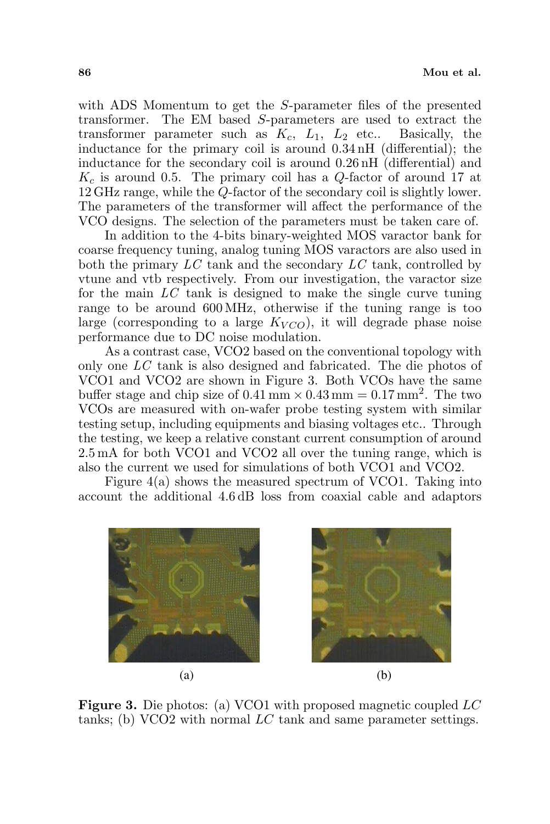with ADS Momentum to get the S-parameter files of the presented transformer. The EM based S-parameters are used to extract the transformer parameter such as  $K_c$ ,  $L_1$ ,  $L_2$  etc.. Basically, the inductance for the primary coil is around 0.34 nH (differential); the inductance for the secondary coil is around 0.26 nH (differential) and  $K_c$  is around 0.5. The primary coil has a Q-factor of around 17 at 12 GHz range, while the Q-factor of the secondary coil is slightly lower. The parameters of the transformer will affect the performance of the VCO designs. The selection of the parameters must be taken care of.

In addition to the 4-bits binary-weighted MOS varactor bank for coarse frequency tuning, analog tuning MOS varactors are also used in both the primary  $LC$  tank and the secondary  $LC$  tank, controlled by vtune and vtb respectively. From our investigation, the varactor size for the main  $LC$  tank is designed to make the single curve tuning range to be around 600 MHz, otherwise if the tuning range is too large (corresponding to a large  $K_{VCO}$ ), it will degrade phase noise performance due to DC noise modulation.

As a contrast case, VCO2 based on the conventional topology with only one LC tank is also designed and fabricated. The die photos of VCO1 and VCO2 are shown in Figure 3. Both VCOs have the same buffer stage and chip size of  $0.41 \text{ mm} \times 0.43 \text{ mm} = 0.17 \text{ mm}^2$ . The two VCOs are measured with on-wafer probe testing system with similar testing setup, including equipments and biasing voltages etc.. Through the testing, we keep a relative constant current consumption of around 2.5 mA for both VCO1 and VCO2 all over the tuning range, which is also the current we used for simulations of both VCO1 and VCO2.

Figure 4(a) shows the measured spectrum of VCO1. Taking into account the additional 4.6 dB loss from coaxial cable and adaptors





Figure 3. Die photos: (a) VCO1 with proposed magnetic coupled LC tanks; (b) VCO2 with normal LC tank and same parameter settings.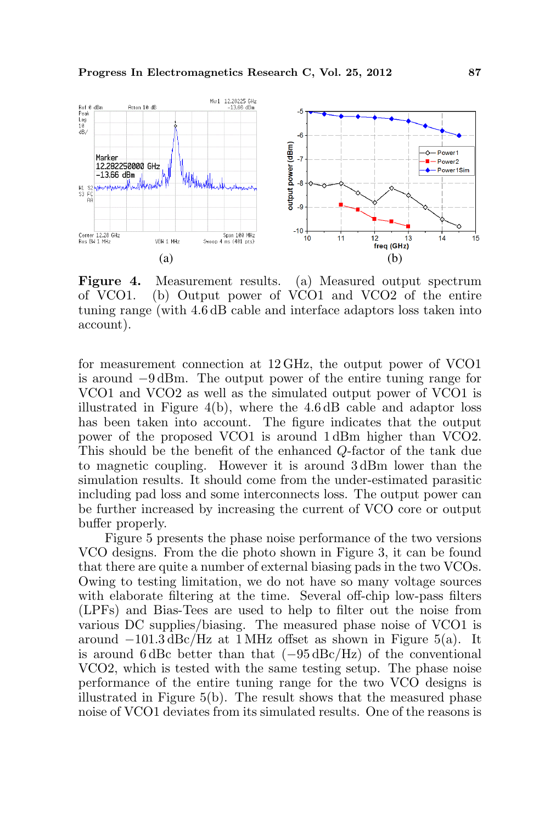

Figure 4. Measurement results. (a) Measured output spectrum of VCO1. (b) Output power of VCO1 and VCO2 of the entire tuning range (with 4.6 dB cable and interface adaptors loss taken into account).

for measurement connection at 12 GHz, the output power of VCO1 is around −9 dBm. The output power of the entire tuning range for VCO1 and VCO2 as well as the simulated output power of VCO1 is illustrated in Figure 4(b), where the 4.6 dB cable and adaptor loss has been taken into account. The figure indicates that the output power of the proposed VCO1 is around 1 dBm higher than VCO2. This should be the benefit of the enhanced Q-factor of the tank due to magnetic coupling. However it is around 3 dBm lower than the simulation results. It should come from the under-estimated parasitic including pad loss and some interconnects loss. The output power can be further increased by increasing the current of VCO core or output buffer properly.

Figure 5 presents the phase noise performance of the two versions VCO designs. From the die photo shown in Figure 3, it can be found that there are quite a number of external biasing pads in the two VCOs. Owing to testing limitation, we do not have so many voltage sources with elaborate filtering at the time. Several off-chip low-pass filters (LPFs) and Bias-Tees are used to help to filter out the noise from various DC supplies/biasing. The measured phase noise of VCO1 is around  $-101.3 \text{ dBc}/\text{Hz}$  at 1 MHz offset as shown in Figure 5(a). It is around 6 dBc better than that  $(-95 \,\text{dBc/Hz})$  of the conventional VCO2, which is tested with the same testing setup. The phase noise performance of the entire tuning range for the two VCO designs is illustrated in Figure 5(b). The result shows that the measured phase noise of VCO1 deviates from its simulated results. One of the reasons is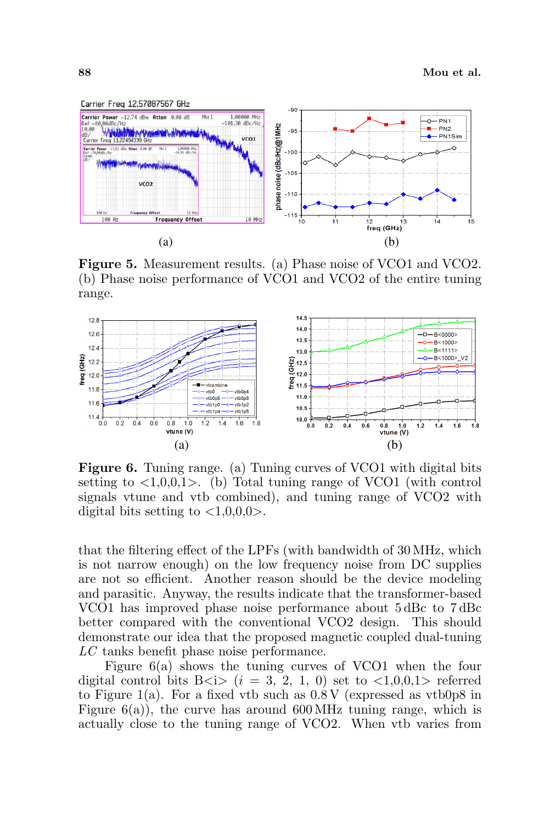

Figure 5. Measurement results. (a) Phase noise of VCO1 and VCO2. (b) Phase noise performance of VCO1 and VCO2 of the entire tuning range.



Figure 6. Tuning range. (a) Tuning curves of VCO1 with digital bits setting to  $\langle 1,0,0,1 \rangle$ . (b) Total tuning range of VCO1 (with control signals vtune and vtb combined), and tuning range of VCO2 with digital bits setting to  $\langle 1,0,0,0 \rangle$ .

that the filtering effect of the LPFs (with bandwidth of 30 MHz, which is not narrow enough) on the low frequency noise from DC supplies are not so efficient. Another reason should be the device modeling and parasitic. Anyway, the results indicate that the transformer-based VCO1 has improved phase noise performance about 5 dBc to 7 dBc better compared with the conventional VCO2 design. This should demonstrate our idea that the proposed magnetic coupled dual-tuning LC tanks benefit phase noise performance.

Figure 6(a) shows the tuning curves of VCO1 when the four digital control bits B $(i = 3, 2, 1, 0)$  set to  $\langle 1, 0, 0, 1 \rangle$  referred to Figure 1(a). For a fixed vtb such as  $0.8 \text{V}$  (expressed as vtb0p8 in Figure  $6(a)$ , the curve has around  $600 \text{ MHz}$  tuning range, which is actually close to the tuning range of VCO2. When vtb varies from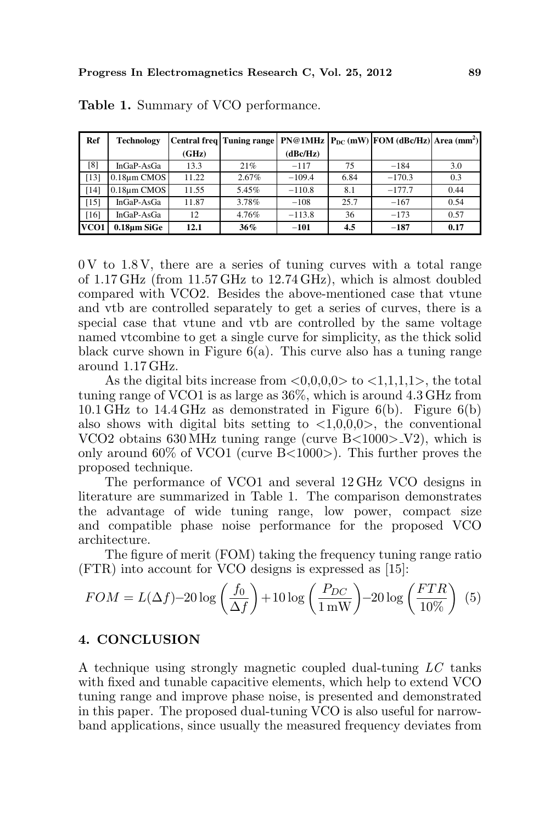| Ref  | <b>Technology</b> |       | Central freq Tuning range |          |      | $PN@1MHz$ $P_{DC}$ (mW) $FOM$ (dBc/Hz) Area (mm <sup>2</sup> ) |      |
|------|-------------------|-------|---------------------------|----------|------|----------------------------------------------------------------|------|
|      |                   | (GHz) |                           | (dBc/Hz) |      |                                                                |      |
| [8]  | InGaP-AsGa        | 13.3  | 21%                       | $-117$   | 75   | $-184$                                                         | 3.0  |
| [13] | 0.18um CMOS       | 11.22 | 2.67%                     | $-109.4$ | 6.84 | $-170.3$                                                       | 0.3  |
| [14] | 0.18um CMOS       | 11.55 | 5.45%                     | $-110.8$ | 8.1  | $-177.7$                                                       | 0.44 |
| [15] | InGaP-AsGa        | 11.87 | 3.78%                     | $-108$   | 25.7 | $-167$                                                         | 0.54 |
| [16] | InGaP-AsGa        | 12    | 4.76%                     | $-113.8$ | 36   | $-173$                                                         | 0.57 |
| VCO1 | 0.18um SiGe       | 12.1  | $36\%$                    | $-101$   | 4.5  | $-187$                                                         | 0.17 |

Table 1. Summary of VCO performance.

 $0 \text{V}$  to 1.8 V, there are a series of tuning curves with a total range of 1.17 GHz (from 11.57 GHz to 12.74 GHz), which is almost doubled compared with VCO2. Besides the above-mentioned case that vtune and vtb are controlled separately to get a series of curves, there is a special case that vtune and vtb are controlled by the same voltage named vtcombine to get a single curve for simplicity, as the thick solid black curve shown in Figure  $6(a)$ . This curve also has a tuning range around 1.17 GHz.

As the digital bits increase from  $\langle 0,0,0,0 \rangle$  to  $\langle 1,1,1,1 \rangle$ , the total tuning range of VCO1 is as large as 36%, which is around 4.3 GHz from 10.1 GHz to 14.4 GHz as demonstrated in Figure 6(b). Figure 6(b) also shows with digital bits setting to  $\langle 1,0,0,0 \rangle$ , the conventional VCO2 obtains  $630 \text{ MHz}$  tuning range (curve B $<$ 1000 $>$ V2), which is only around  $60\%$  of VCO1 (curve B $\lt$ 1000 $\gt$ ). This further proves the proposed technique.

The performance of VCO1 and several 12 GHz VCO designs in literature are summarized in Table 1. The comparison demonstrates the advantage of wide tuning range, low power, compact size and compatible phase noise performance for the proposed VCO architecture.

The figure of merit (FOM) taking the frequency tuning range ratio (FTR) into account for VCO designs is expressed as [15]:

$$
FOM = L(\Delta f) - 20 \log \left(\frac{f_0}{\Delta f}\right) + 10 \log \left(\frac{P_{DC}}{1 \text{ mW}}\right) - 20 \log \left(\frac{FTR}{10\%}\right) \tag{5}
$$

#### 4. CONCLUSION

A technique using strongly magnetic coupled dual-tuning LC tanks with fixed and tunable capacitive elements, which help to extend VCO tuning range and improve phase noise, is presented and demonstrated in this paper. The proposed dual-tuning VCO is also useful for narrowband applications, since usually the measured frequency deviates from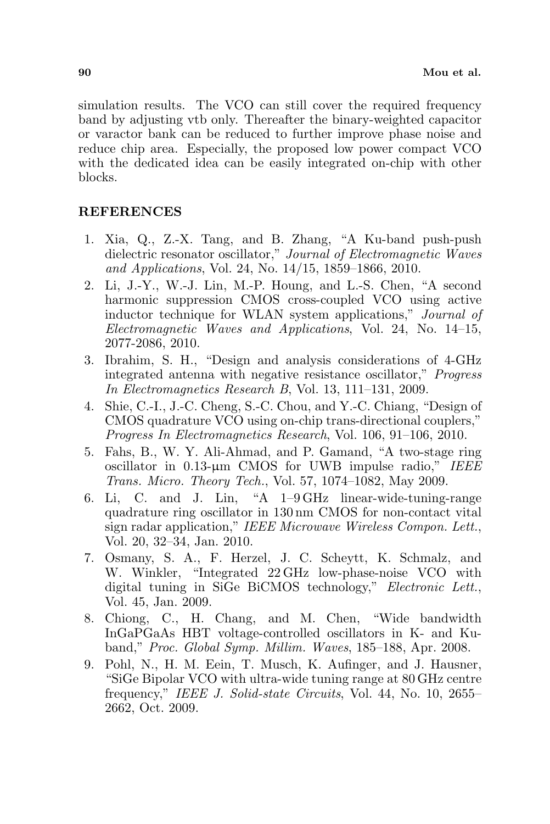simulation results. The VCO can still cover the required frequency band by adjusting vtb only. Thereafter the binary-weighted capacitor or varactor bank can be reduced to further improve phase noise and reduce chip area. Especially, the proposed low power compact VCO with the dedicated idea can be easily integrated on-chip with other blocks.

## REFERENCES

- 1. Xia, Q., Z.-X. Tang, and B. Zhang, "A Ku-band push-push dielectric resonator oscillator," Journal of Electromagnetic Waves and Applications, Vol. 24, No. 14/15, 1859–1866, 2010.
- 2. Li, J.-Y., W.-J. Lin, M.-P. Houng, and L.-S. Chen, "A second harmonic suppression CMOS cross-coupled VCO using active inductor technique for WLAN system applications," Journal of Electromagnetic Waves and Applications, Vol. 24, No. 14–15, 2077-2086, 2010.
- 3. Ibrahim, S. H., "Design and analysis considerations of 4-GHz integrated antenna with negative resistance oscillator," Progress In Electromagnetics Research B, Vol. 13, 111–131, 2009.
- 4. Shie, C.-I., J.-C. Cheng, S.-C. Chou, and Y.-C. Chiang, "Design of CMOS quadrature VCO using on-chip trans-directional couplers," Progress In Electromagnetics Research, Vol. 106, 91–106, 2010.
- 5. Fahs, B., W. Y. Ali-Ahmad, and P. Gamand, "A two-stage ring oscillator in 0.13-µm CMOS for UWB impulse radio," IEEE Trans. Micro. Theory Tech., Vol. 57, 1074–1082, May 2009.
- 6. Li, C. and J. Lin, "A 1–9 GHz linear-wide-tuning-range quadrature ring oscillator in 130 nm CMOS for non-contact vital sign radar application," IEEE Microwave Wireless Compon. Lett., Vol. 20, 32–34, Jan. 2010.
- 7. Osmany, S. A., F. Herzel, J. C. Scheytt, K. Schmalz, and W. Winkler, "Integrated 22 GHz low-phase-noise VCO with digital tuning in SiGe BiCMOS technology," Electronic Lett., Vol. 45, Jan. 2009.
- 8. Chiong, C., H. Chang, and M. Chen, "Wide bandwidth InGaPGaAs HBT voltage-controlled oscillators in K- and Kuband," Proc. Global Symp. Millim. Waves, 185–188, Apr. 2008.
- 9. Pohl, N., H. M. Eein, T. Musch, K. Aufinger, and J. Hausner, "SiGe Bipolar VCO with ultra-wide tuning range at 80 GHz centre frequency," IEEE J. Solid-state Circuits, Vol. 44, No. 10, 2655– 2662, Oct. 2009.